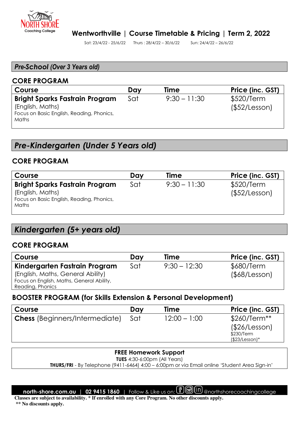

#### *Pre-School (Over 3 Years old)*

#### **CORE PROGRAM**

| Course                                                                                                          | Dav | Time           | Price (inc. GST)            |
|-----------------------------------------------------------------------------------------------------------------|-----|----------------|-----------------------------|
| <b>Bright Sparks Fastrain Program</b><br>(English, Maths)<br>Focus on Basic English, Reading, Phonics,<br>Maths | Sat | $9:30 - 11:30$ | \$520/Term<br>(\$52/Lesson) |

# *Pre-Kindergarten (Under 5 Years old)*

#### **CORE PROGRAM**

| Course                                    | Day | <b>Time</b>    | Price (inc. GST) |
|-------------------------------------------|-----|----------------|------------------|
| <b>Bright Sparks Fastrain Program</b>     | Sat | $9:30 - 11:30$ | \$520/Term       |
| (English, Maths)                          |     |                | (\$52/Lesson)    |
| Focus on Basic English, Reading, Phonics, |     |                |                  |
| Maths                                     |     |                |                  |
|                                           |     |                |                  |

# *Kindergarten (5+ years old)*

#### **CORE PROGRAM**

| Course                                    | Dav | <b>Time</b>    | Price (inc. GST)    |
|-------------------------------------------|-----|----------------|---------------------|
| Kindergarten Fastrain Program             | Sat | $9:30 - 12:30$ | \$680/Term          |
| (English, Maths, General Ability)         |     |                | $($ \$68/Lesson $)$ |
| Focus on English, Maths, General Ability, |     |                |                     |
| Reading, Phonics                          |     |                |                     |

#### **BOOSTER PROGRAM (for Skills Extension & Personal Development)**

| Day | Time           | Price (inc. GST) |
|-----|----------------|------------------|
| Sat | $12:00 - 1:00$ | \$260/Term**     |
|     |                | (\$26/Lesson)    |
|     |                | \$230/Term       |
|     |                | $($23/Lesson)*$  |
|     |                |                  |

#### **FREE Homework Support**

**TUES** 4:30-6:00pm (All Years)

 **THURS/FRI** - By Telephone (9411-6464) 4:00 – 6:00pm or via Email online 'Student Area Sign-in'

**north-shore.com.au | 02 9415 1860** | Follow & Like us on: **@** @ (In) @northshorecoachingcollege

**Classes are subject to availability. \* If enrolled with any Core Program. No other discounts apply.** 

 **\*\* No discounts apply.**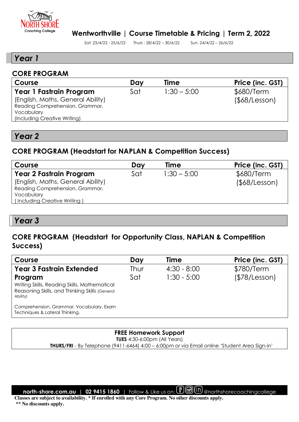

#### **Wentworthville | Course Timetable & Pricing | Term 2, 2022**

Sat: 23/4/22 - 25/6/22 Thurs : 28/4/22 – 30/6/22 Sun: 24/4/22 – 26/6/22

## *Year 1*

#### **CORE PROGRAM**

| Course                            | Dav | Time          | Price (inc. GST)    |
|-----------------------------------|-----|---------------|---------------------|
| Year 1 Fastrain Program           | Sat | $1:30 - 5:00$ | \$680/Term          |
| (English, Maths, General Ability) |     |               | $($ \$68/Lesson $)$ |
| Reading Comprehension, Grammar,   |     |               |                     |
| Vocabulary                        |     |               |                     |
| (Including Creative Writing)      |     |               |                     |
|                                   |     |               |                     |

l

# *Year 2*

### **CORE PROGRAM (Headstart for NAPLAN & Competition Success)**

| Course                            | Day | Time          | Price (inc. GST)    |
|-----------------------------------|-----|---------------|---------------------|
| <b>Year 2 Fastrain Program</b>    | Sat | $1:30 - 5:00$ | \$680/Term          |
| (English, Maths, General Ability) |     |               | $($ \$68/Lesson $)$ |
| Reading Comprehension, Grammar,   |     |               |                     |
| Vocabulary                        |     |               |                     |
| (Including Creative Writing)      |     |               |                     |

## *Year 3*

# **CORE PROGRAM (Headstart for Opportunity Class, NAPLAN & Competition Success)**

| Course                                                                                                                | Day  | <b>Time</b>   | Price (inc. GST) |
|-----------------------------------------------------------------------------------------------------------------------|------|---------------|------------------|
| <b>Year 3 Fastrain Extended</b>                                                                                       | Thur | $4:30 - 8:00$ | \$780/Term       |
| Program<br>Writing Skills, Reading Skills, Mathematical<br>Reasoning Skills, and Thinking Skills (General<br>Ability) | Sat  | $1:30 - 5:00$ | (\$78/Lesson)    |
| Comprehension, Grammar, Vocabulary, Exam<br>Techniques & Lateral Thinking.                                            |      |               |                  |

## **FREE Homework Support**

**TUES** 4:30-6:00pm (All Years)

 **THURS/FRI** - By Telephone (9411-6464) 4:00 – 6:00pm or via Email online 'Student Area Sign-in'

**north-shore.com.au | 02 9415 1860** | Follow & Like us on: **@** @ (II) @northshorecoachingcollege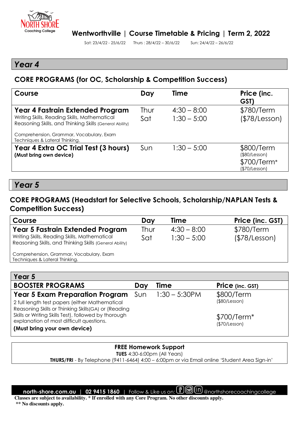

## *Year 4*

## **CORE PROGRAMS (for OC, Scholarship & Competition Success)**

| Course                                                                                                                                                                                  | Day         | <b>Time</b>                    | Price (inc.<br>GST)                                         |
|-----------------------------------------------------------------------------------------------------------------------------------------------------------------------------------------|-------------|--------------------------------|-------------------------------------------------------------|
| Year 4 Fastrain Extended Program<br>Writing Skills, Reading Skills, Mathematical<br>Reasoning Skills, and Thinking Skills (General Ability)<br>Comprehension, Grammar, Vocabulary, Exam | Thur<br>Sat | $4:30 - 8:00$<br>$1:30 - 5:00$ | \$780/Term<br>(\$78/Lesson)                                 |
| Techniques & Lateral Thinking.<br>Year 4 Extra OC Trial Test (3 hours)<br>(Must bring own device)                                                                                       | Sun         | $1:30 - 5:00$                  | \$800/Term<br>(\$80/Lesson)<br>\$700/Term*<br>(\$70/Lesson) |

*Year 5* 

## **CORE PROGRAMS (Headstart for Selective Schools, Scholarship/NAPLAN Tests & Competition Success)**

| Course                                                                                                  | Day  | Time          | Price (inc. GST) |
|---------------------------------------------------------------------------------------------------------|------|---------------|------------------|
| Year 5 Fastrain Extended Program                                                                        | Thur | $4:30 - 8:00$ | \$780/Term       |
| Writing Skills, Reading Skills, Mathematical<br>Reasoning Skills, and Thinking Skills (General Ability) | Sat  | $1:30 - 5:00$ | (\$78/Lesson)    |
| Comprehension, Grammar, Vocabulary, Exam<br>Techniques & Lateral Thinking.                              |      |               |                  |
|                                                                                                         |      |               |                  |

| Year 5                                                                                                                           |       |                  |                               |
|----------------------------------------------------------------------------------------------------------------------------------|-------|------------------|-------------------------------|
| <b>BOOSTER PROGRAMS</b>                                                                                                          | Day   | Time             | <b>Price</b> (inc. GST)       |
| <b>Year 5 Exam Preparation Program</b>                                                                                           | . Sun | $1:30 - 5:30$ PM | \$800/Term                    |
| 2 full length test papers (either Mathematical<br>Reasoning Skills or Thinking Skills(GA) or (Reading                            |       |                  | (\$80/Lesson)                 |
| Skills or Writing Skills Test), followed by thorough<br>explanation of most difficult questions.<br>(Must bring your own device) |       |                  | $$700/Term*$<br>(\$70/Lesson) |

#### **FREE Homework Support**

**TUES** 4:30-6:00pm (All Years)

 **THURS/FRI** - By Telephone (9411-6464) 4:00 – 6:00pm or via Email online 'Student Area Sign-in'

**north-shore.com.au | 02 9415 1860** | Follow & Like us on: **@** @ (II) @northshorecoachingcollege

**Classes are subject to availability. \* If enrolled with any Core Program. No other discounts apply. \*\* No discounts apply.**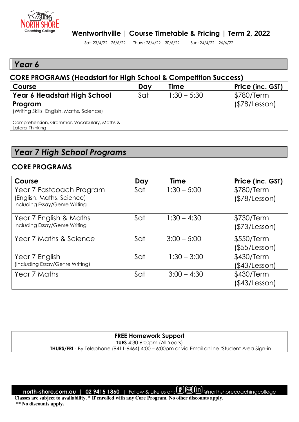

## *Year 6*

#### **CORE PROGRAMS (Headstart for High School & Competition Success) Course Course Course Course Course Course Course Course Course Course Price (inc. GST) Year 6 Headstart High School Program**  (Writing Skills, English, Maths, Science) Comprehension, Grammar, Vocabulary, Maths & Lateral Thinking Sat 1:30 – 5:30 \$780/Term (\$78/Lesson)

# *Year 7 High School Programs*

### **CORE PROGRAMS**

| Course                                                                                 | Day | <b>Time</b>   | Price (inc. GST)            |
|----------------------------------------------------------------------------------------|-----|---------------|-----------------------------|
| Year 7 Fastcoach Program<br>(English, Maths, Science)<br>Including Essay/Genre Writing | Sat | $1:30 - 5:00$ | \$780/Term<br>(\$78/Lesson) |
| Year 7 English & Maths<br>Including Essay/Genre Writing                                | Sat | $1:30 - 4:30$ | \$730/Term<br>(\$73/Lesson) |
| Year 7 Maths & Science                                                                 | Sat | $3:00 - 5:00$ | \$550/Term<br>(\$55/Lesson) |
| Year 7 English<br>(Including Essay/Genre Writing)                                      | Sat | $1:30 - 3:00$ | \$430/Term<br>(\$43/Lesson) |
| Year 7 Maths                                                                           | Sat | $3:00 - 4:30$ | \$430/Term<br>(\$43/Lesson) |

#### **FREE Homework Support TUES** 4:30-6:00pm (All Years)

 **THURS/FRI** - By Telephone (9411-6464) 4:00 – 6:00pm or via Email online 'Student Area Sign-in'

**north-shore.com.au | 02 9415 1860** | Follow & Like us on: *f* **图** in @northshorecoachingcollege

**Classes are subject to availability. \* If enrolled with any Core Program. No other discounts apply. \*\* No discounts apply.**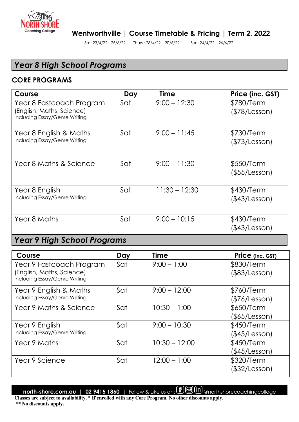

# *Year 8 High School Programs*

#### **CORE PROGRAMS**

| Course                                                                                 | Day | <b>Time</b>     | Price (inc. GST)                  |
|----------------------------------------------------------------------------------------|-----|-----------------|-----------------------------------|
| Year 8 Fastcoach Program<br>(English, Maths, Science)<br>Including Essay/Genre Writing | Sat | $9:00 - 12:30$  | \$780/Term<br>(\$78/Lesson)       |
| Year 8 English & Maths<br>Including Essay/Genre Writing                                | Sat | $9:00 - 11:45$  | \$730/Term<br>(\$73/Lesson)       |
| Year 8 Maths & Science                                                                 | Sat | $9:00 - 11:30$  | \$550/Term<br>$($ \$55/Lesson $)$ |
| Year 8 English<br>Including Essay/Genre Writing                                        | Sat | $11:30 - 12:30$ | \$430/Term<br>(\$43/Lesson)       |
| Year 8 Maths                                                                           | Sat | $9:00 - 10:15$  | \$430/Term<br>(\$43/Lesson)       |

# *Year 9 High School Programs*

| Course                                                     | Day | <b>Time</b>     | <b>Price</b> (inc. GST) |
|------------------------------------------------------------|-----|-----------------|-------------------------|
| Year 9 Fastcoach Program                                   | Sat | $9:00 - 1:00$   | \$830/Term              |
| (English, Maths, Science)<br>Including Essay/Genre Writing |     |                 | (\$83/Lesson)           |
| Year 9 English & Maths                                     | Sat | $9:00 - 12:00$  | \$760/Term              |
| Including Essay/Genre Writing                              |     |                 | (\$76/Lesson)           |
| Year 9 Maths & Science                                     | Sat | $10:30 - 1:00$  | \$650/Term              |
|                                                            |     |                 | (\$65/Lesson)           |
| Year 9 English                                             | Sat | $9:00 - 10:30$  | \$450/Term              |
| Including Essay/Genre Writing                              |     |                 | (\$45/Lesson)           |
| Year 9 Maths                                               | Sat | $10:30 - 12:00$ | \$450/Term              |
|                                                            |     |                 | (\$45/Lesson)           |
| Year 9 Science                                             | Sat | $12:00 - 1:00$  | \$320/Term              |
|                                                            |     |                 | (\$32/Lesson)           |

**north-shore.com.au | 02 9415 1860** | Follow & Like us on: *e* **图** in @northshorecoachingcollege

**Classes are subject to availability. \* If enrolled with any Core Program. No other discounts apply. \*\* No discounts apply.**